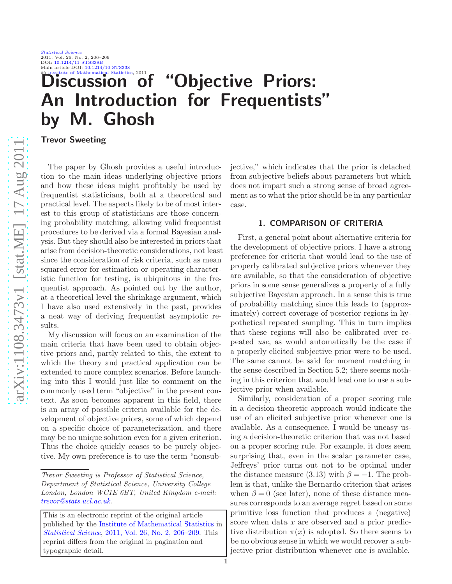#### [Statistical Science](http://www.imstat.org/sts/) 2011, Vol. 26, No. 2, 206–209 DOI: [10.1214/11-STS338B](http://dx.doi.org/10.1214/11-STS338B) Main article DOI: [10.1214/10-STS338](http://dx.doi.org/10.1214/10-STS338)<br>© Institute of Mathematical Statistics, 2011

# iscussion of "Objective Priors: An Introduction for Frequentists" by M. Ghosh

Trevor Sweeting

The paper by Ghosh provides a useful introduction to the main ideas underlying objective priors and how these ideas might profitably be used by frequentist statisticians, both at a theoretical and practical level. The aspects likely to be of most interest to this group of statisticians are those concerning probability matching, allowing valid frequentist procedures to be derived via a formal Bayesian analysis. But they should also be interested in priors that arise from decision-theoretic considerations, not least since the consideration of risk criteria, such as mean squared error for estimation or operating characteristic function for testing, is ubiquitous in the frequentist approach. As pointed out by the author, at a theoretical level the shrinkage argument, which I have also used extensively in the past, provides a neat way of deriving frequentist asymptotic results.

My discussion will focus on an examination of the main criteria that have been used to obtain objective priors and, partly related to this, the extent to which the theory and practical application can be extended to more complex scenarios. Before launching into this I would just like to comment on the commonly used term "objective" in the present context. As soon becomes apparent in this field, there is an array of possible criteria available for the development of objective priors, some of which depend on a specific choice of parameterization, and there may be no unique solution even for a given criterion. Thus the choice quickly ceases to be purely objective. My own preference is to use the term "nonsubjective," which indicates that the prior is detached from subjective beliefs about parameters but which does not impart such a strong sense of broad agreement as to what the prior should be in any particular case.

# 1. COMPARISON OF CRITERIA

First, a general point about alternative criteria for the development of objective priors. I have a strong preference for criteria that would lead to the use of properly calibrated subjective priors whenever they are available, so that the consideration of objective priors in some sense generalizes a property of a fully subjective Bayesian approach. In a sense this is true of probability matching since this leads to (approximately) correct coverage of posterior regions in hypothetical repeated sampling. This in turn implies that these regions will also be calibrated over repeated *use*, as would automatically be the case if a properly elicited subjective prior were to be used. The same cannot be said for moment matching in the sense described in Section 5.2; there seems nothing in this criterion that would lead one to use a subjective prior when available.

Similarly, consideration of a proper scoring rule in a decision-theoretic approach would indicate the use of an elicited subjective prior whenever one is available. As a consequence, I would be uneasy using a decision-theoretic criterion that was not based on a proper scoring rule. For example, it does seem surprising that, even in the scalar parameter case, Jeffreys' prior turns out not to be optimal under the distance measure (3.13) with  $\beta = -1$ . The problem is that, unlike the Bernardo criterion that arises when  $\beta = 0$  (see later), none of these distance measures corresponds to an average regret based on some primitive loss function that produces a (negative) score when data x are observed and a prior predictive distribution  $\pi(x)$  is adopted. So there seems to be no obvious sense in which we would recover a subjective prior distribution whenever one is available.

*Trevor Sweeting is Professor of Statistical Science, Department of Statistical Science, University College London, London WC1E 6BT, United Kingdom e-mail: [trevor@stats.ucl.ac.uk.](mailto:trevor@stats.ucl.ac.uk)*

This is an electronic reprint of the original article published by the [Institute of Mathematical Statistics](http://www.imstat.org) in *[Statistical Science](http://www.imstat.org/sts/)*, [2011, Vol. 26, No. 2, 206–209.](http://dx.doi.org/10.1214/11-STS338B) This reprint differs from the original in pagination and typographic detail.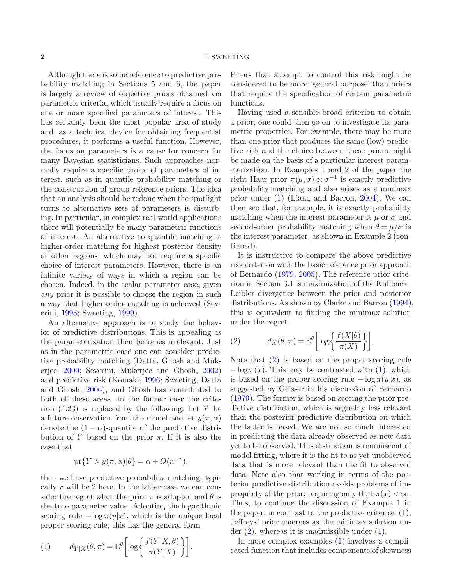Although there is some reference to predictive probability matching in Sections 5 and 6, the paper is largely a review of objective priors obtained via parametric criteria, which usually require a focus on one or more specified parameters of interest. This has certainly been the most popular area of study and, as a technical device for obtaining frequentist procedures, it performs a useful function. However, the focus on parameters is a cause for concern for many Bayesian statisticians. Such approaches normally require a specific choice of parameters of interest, such as in quantile probability matching or the construction of group reference priors. The idea that an analysis should be redone when the spotlight turns to alternative sets of parameters is disturbing. In particular, in complex real-world applications there will potentially be many parametric functions of interest. An alternative to quantile matching is higher-order matching for highest posterior density or other regions, which may not require a specific choice of interest parameters. However, there is an infinite variety of ways in which a region can be chosen. Indeed, in the scalar parameter case, given *any* prior it is possible to choose the region in such a way that higher-order matching is achieved (Severini, [1993;](#page-3-0) Sweeting, [1999](#page-4-0)).

An alternative approach is to study the behavior of predictive distributions. This is appealing as the parameterization then becomes irrelevant. Just as in the parametric case one can consider predictive probability matching (Datta, Ghosh and Mukerjee, [2000](#page-3-1); Severini, Mukerjee and Ghosh, [2002\)](#page-3-2) and predictive risk (Komaki, [1996](#page-3-3); Sweeting, Datta and Ghosh, [2006](#page-4-1)), and Ghosh has contributed to both of these areas. In the former case the criterion  $(4.23)$  is replaced by the following. Let Y be a future observation from the model and let  $y(\pi, \alpha)$ denote the  $(1 - \alpha)$ -quantile of the predictive distribution of Y based on the prior  $\pi$ . If it is also the case that

$$
\mathrm{pr}\{Y > y(\pi, \alpha)|\theta\} = \alpha + O(n^{-r}),
$$

then we have predictive probability matching; typically r will be 2 here. In the latter case we can consider the regret when the prior  $\pi$  is adopted and  $\theta$  is the true parameter value. Adopting the logarithmic scoring rule  $-\log \pi(y|x)$ , which is the unique local proper scoring rule, this has the general form

<span id="page-1-0"></span>(1) 
$$
d_{Y|X}(\theta, \pi) = \mathcal{E}^{\theta} \left[ \log \left\{ \frac{f(Y|X, \theta)}{\pi(Y|X)} \right\} \right].
$$

Priors that attempt to control this risk might be considered to be more 'general purpose' than priors that require the specification of certain parametric functions.

Having used a sensible broad criterion to obtain a prior, one could then go on to investigate its parametric properties. For example, there may be more than one prior that produces the same (low) predictive risk and the choice between these priors might be made on the basis of a particular interest parameterization. In Examples 1 and 2 of the paper the right Haar prior  $\pi(\mu,\sigma) \propto \sigma^{-1}$  is exactly predictive probability matching and also arises as a minimax prior under [\(1\)](#page-1-0) (Liang and Barron, [2004](#page-3-4)). We can then see that, for example, it is exactly probability matching when the interest parameter is  $\mu$  or  $\sigma$  and second-order probability matching when  $\theta = \mu/\sigma$  is the interest parameter, as shown in Example 2 (continued).

It is instructive to compare the above predictive risk criterion with the basic reference prior approach of Bernardo [\(1979](#page-3-5), [2005](#page-3-6)). The reference prior criterion in Section 3.1 is maximization of the Kullback– Leibler divergence between the prior and posterior distributions. As shown by Clarke and Barron [\(1994](#page-3-7)), this is equivalent to finding the minimax solution under the regret

<span id="page-1-1"></span>(2) 
$$
d_X(\theta, \pi) = \mathcal{E}^{\theta} \left[ \log \left\{ \frac{f(X|\theta)}{\pi(X)} \right\} \right].
$$

Note that [\(2\)](#page-1-1) is based on the proper scoring rule  $-\log \pi(x)$ . This may be contrasted with [\(1\)](#page-1-0), which is based on the proper scoring rule  $-\log \pi(y|x)$ , as suggested by Geisser in his discussion of Bernardo [\(1979](#page-3-5)). The former is based on scoring the prior predictive distribution, which is arguably less relevant than the posterior predictive distribution on which the latter is based. We are not so much interested in predicting the data already observed as new data yet to be observed. This distinction is reminiscent of model fitting, where it is the fit to as yet unobserved data that is more relevant than the fit to observed data. Note also that working in terms of the posterior predictive distribution avoids problems of impropriety of the prior, requiring only that  $\pi(x) < \infty$ . Thus, to continue the discussion of Example 1 in the paper, in contrast to the predictive criterion  $(1)$ , Jeffreys' prior emerges as the minimax solution under  $(2)$ , whereas it is inadmissible under  $(1)$ .

In more complex examples [\(1\)](#page-1-0) involves a complicated function that includes components of skewness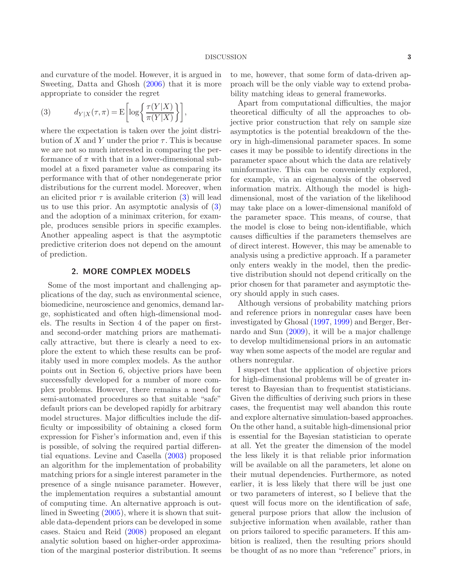and curvature of the model. However, it is argued in Sweeting, Datta and Ghosh [\(2006\)](#page-4-1) that it is more appropriate to consider the regret

<span id="page-2-0"></span>(3) 
$$
d_{Y|X}(\tau,\pi) = \mathcal{E}\left[\log\left\{\frac{\tau(Y|X)}{\pi(Y|X)}\right\}\right],
$$

where the expectation is taken over the joint distribution of X and Y under the prior  $\tau$ . This is because we are not so much interested in comparing the performance of  $\pi$  with that in a lower-dimensional submodel at a fixed parameter value as comparing its performance with that of other nondegenerate prior distributions for the current model. Moreover, when an elicited prior  $\tau$  is available criterion [\(3\)](#page-2-0) will lead us to use this prior. An asymptotic analysis of [\(3\)](#page-2-0) and the adoption of a minimax criterion, for example, produces sensible priors in specific examples. Another appealing aspect is that the asymptotic predictive criterion does not depend on the amount of prediction.

# 2. MORE COMPLEX MODELS

Some of the most important and challenging applications of the day, such as environmental science, biomedicine, neuroscience and genomics, demand large, sophisticated and often high-dimensional models. The results in Section 4 of the paper on firstand second-order matching priors are mathematically attractive, but there is clearly a need to explore the extent to which these results can be profitably used in more complex models. As the author points out in Section 6, objective priors have been successfully developed for a number of more complex problems. However, there remains a need for semi-automated procedures so that suitable "safe" default priors can be developed rapidly for arbitrary model structures. Major difficulties include the difficulty or impossibility of obtaining a closed form expression for Fisher's information and, even if this is possible, of solving the required partial differential equations. Levine and Casella [\(2003\)](#page-3-8) proposed an algorithm for the implementation of probability matching priors for a single interest parameter in the presence of a single nuisance parameter. However, the implementation requires a substantial amount of computing time. An alternative approach is outlined in Sweeting [\(2005](#page-4-2)), where it is shown that suitable data-dependent priors can be developed in some cases. Staicu and Reid [\(2008\)](#page-4-3) proposed an elegant analytic solution based on higher-order approximation of the marginal posterior distribution. It seems

to me, however, that some form of data-driven approach will be the only viable way to extend probability matching ideas to general frameworks.

Apart from computational difficulties, the major theoretical difficulty of all the approaches to objective prior construction that rely on sample size asymptotics is the potential breakdown of the theory in high-dimensional parameter spaces. In some cases it may be possible to identify directions in the parameter space about which the data are relatively uninformative. This can be conveniently explored, for example, via an eigenanalysis of the observed information matrix. Although the model is highdimensional, most of the variation of the likelihood may take place on a lower-dimensional manifold of the parameter space. This means, of course, that the model is close to being non-identifiable, which causes difficulties if the parameters themselves are of direct interest. However, this may be amenable to analysis using a predictive approach. If a parameter only enters weakly in the model, then the predictive distribution should not depend critically on the prior chosen for that parameter and asymptotic theory should apply in such cases.

Although versions of probability matching priors and reference priors in nonregular cases have been investigated by Ghosal [\(1997](#page-3-9), [1999\)](#page-3-10) and Berger, Bernardo and Sun [\(2009](#page-3-11)), it will be a major challenge to develop multidimensional priors in an automatic way when some aspects of the model are regular and others nonregular.

I suspect that the application of objective priors for high-dimensional problems will be of greater interest to Bayesian than to frequentist statisticians. Given the difficulties of deriving such priors in these cases, the frequentist may well abandon this route and explore alternative simulation-based approaches. On the other hand, a suitable high-dimensional prior is essential for the Bayesian statistician to operate at all. Yet the greater the dimension of the model the less likely it is that reliable prior information will be available on all the parameters, let alone on their mutual dependencies. Furthermore, as noted earlier, it is less likely that there will be just one or two parameters of interest, so I believe that the quest will focus more on the identification of safe, general purpose priors that allow the inclusion of subjective information when available, rather than on priors tailored to specific parameters. If this ambition is realized, then the resulting priors should be thought of as no more than "reference" priors, in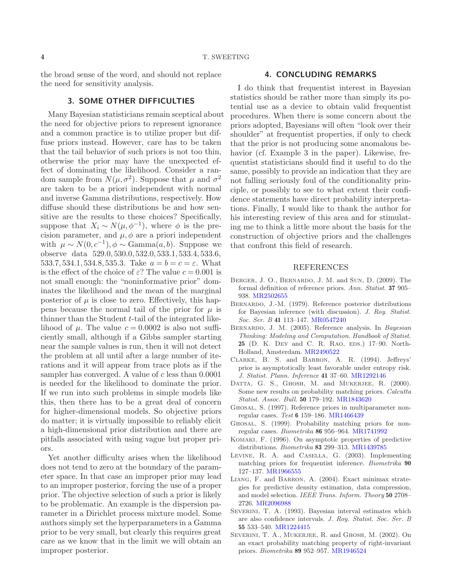the broad sense of the word, and should not replace the need for sensitivity analysis.

## 3. SOME OTHER DIFFICULTIES

Many Bayesian statisticians remain sceptical about the need for objective priors to represent ignorance and a common practice is to utilize proper but diffuse priors instead. However, care has to be taken that the tail behavior of such priors is not too thin, otherwise the prior may have the unexpected effect of dominating the likelihood. Consider a random sample from  $N(\mu, \sigma^2)$ . Suppose that  $\mu$  and  $\sigma^2$ are taken to be a priori independent with normal and inverse Gamma distributions, respectively. How diffuse should these distributions be and how sensitive are the results to these choices? Specifically, suppose that  $X_i \sim N(\mu, \phi^{-1})$ , where  $\phi$  is the precision parameter, and  $\mu$ ,  $\phi$  are a priori independent with  $\mu \sim N(0, c^{-1}), \phi \sim \text{Gamma}(a, b)$ . Suppose we observe data 529.0, 530.0, 532.0, 533.1, 533.4, 533.6, 533.7, 534.1, 534.8, 535.3. Take  $a = b = c = \varepsilon$ . What is the effect of the choice of  $\varepsilon$ ? The value  $c = 0.001$  is not small enough: the "noninformative prior" dominates the likelihood and the mean of the marginal posterior of  $\mu$  is close to zero. Effectively, this happens because the normal tail of the prior for  $\mu$  is thinner than the Student t-tail of the integrated likelihood of  $\mu$ . The value  $c = 0.0002$  is also not sufficiently small, although if a Gibbs sampler starting near the sample values is run, then it will not detect the problem at all until after a large number of iterations and it will appear from trace plots as if the sampler has converged. A value of  $c$  less than  $0.0001$ is needed for the likelihood to dominate the prior. If we run into such problems in simple models like this, then there has to be a great deal of concern for higher-dimensional models. So objective priors do matter; it is virtually impossible to reliably elicit a high-dimensional prior distribution and there are pitfalls associated with using vague but proper priors.

Yet another difficulty arises when the likelihood does not tend to zero at the boundary of the parameter space. In that case an improper prior may lead to an improper posterior, forcing the use of a proper prior. The objective selection of such a prior is likely to be problematic. An example is the dispersion parameter in a Dirichlet process mixture model. Some authors simply set the hyperparameters in a Gamma prior to be very small, but clearly this requires great care as we know that in the limit we will obtain an improper posterior.

## 4. CONCLUDING REMARKS

I do think that frequentist interest in Bayesian statistics should be rather more than simply its potential use as a device to obtain valid frequentist procedures. When there is some concern about the priors adopted, Bayesians will often "look over their shoulder" at frequentist properties, if only to check that the prior is not producing some anomalous behavior (cf. Example 3 in the paper). Likewise, frequentist statisticians should find it useful to do the same, possibly to provide an indication that they are not falling seriously foul of the conditionality principle, or possibly to see to what extent their confidence statements have direct probability interpretations. Finally, I would like to thank the author for his interesting review of this area and for stimulating me to think a little more about the basis for the construction of objective priors and the challenges that confront this field of research.

#### REFERENCES

- <span id="page-3-11"></span>Berger, J. O., Bernardo, J. M. and Sun, D. (2009). The formal definition of reference priors. *Ann. Statist.* 37 905– 938. [MR2502655](http://www.ams.org/mathscinet-getitem?mr=2502655)
- <span id="page-3-5"></span>Bernardo, J.-M. (1979). Reference posterior distributions for Bayesian inference (with discussion). *J. Roy. Statist. Soc. Ser. B* 41 113–147. [MR0547240](http://www.ams.org/mathscinet-getitem?mr=0547240)
- <span id="page-3-6"></span>Bernardo, J. M. (2005). Reference analysis. In *Bayesian Thinking: Modeling and Computation*. *Handbook of Statist.* 25 (D. K. DEY and C. R. RAO, EDS.) 17–90. North-Holland, Amsterdam. [MR2490522](http://www.ams.org/mathscinet-getitem?mr=2490522)
- <span id="page-3-7"></span>Clarke, B. S. and Barron, A. R. (1994). Jeffreys' prior is asymptotically least favorable under entropy risk. *J. Statist. Plann. Inference* 41 37–60. [MR1292146](http://www.ams.org/mathscinet-getitem?mr=1292146)
- <span id="page-3-1"></span>DATTA, G. S., GHOSH, M. and MUKERJEE, R. (2000). Some new results on probability matching priors. *Calcutta Statist. Assoc. Bull.* 50 179–192. [MR1843620](http://www.ams.org/mathscinet-getitem?mr=1843620)
- <span id="page-3-9"></span>Ghosal, S. (1997). Reference priors in multiparameter nonregular cases. *Test* 6 159–186. [MR1466439](http://www.ams.org/mathscinet-getitem?mr=1466439)
- <span id="page-3-10"></span>Ghosal, S. (1999). Probability matching priors for nonregular cases. *Biometrika* 86 956–964. [MR1741992](http://www.ams.org/mathscinet-getitem?mr=1741992)
- <span id="page-3-3"></span>Komaki, F. (1996). On asymptotic properties of predictive distributions. *Biometrika* 83 299–313. [MR1439785](http://www.ams.org/mathscinet-getitem?mr=1439785)
- <span id="page-3-8"></span>Levine, R. A. and Casella, G. (2003). Implementing matching priors for frequentist inference. *Biometrika* 90 127–137. [MR1966555](http://www.ams.org/mathscinet-getitem?mr=1966555)
- <span id="page-3-4"></span>Liang, F. and Barron, A. (2004). Exact minimax strategies for predictive density estimation, data compression, and model selection. *IEEE Trans. Inform. Theory* 50 2708– 2726. [MR2096988](http://www.ams.org/mathscinet-getitem?mr=2096988)
- <span id="page-3-0"></span>SEVERINI, T. A. (1993). Bayesian interval estimates which are also confidence intervals. *J. Roy. Statist. Soc. Ser. B* 55 533–540. [MR1224415](http://www.ams.org/mathscinet-getitem?mr=1224415)
- <span id="page-3-2"></span>SEVERINI, T. A., MUKERJEE, R. and GHOSH, M. (2002). On an exact probability matching property of right-invariant priors. *Biometrika* 89 952–957. [MR1946524](http://www.ams.org/mathscinet-getitem?mr=1946524)